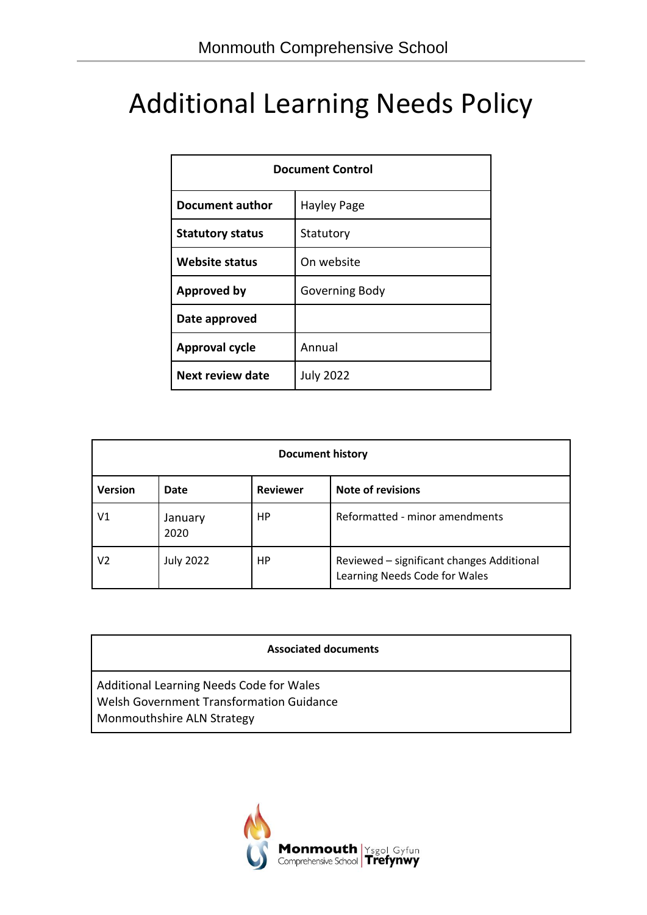# Additional Learning Needs Policy

| <b>Document Control</b> |                  |  |  |  |
|-------------------------|------------------|--|--|--|
| Document author         | Hayley Page      |  |  |  |
| <b>Statutory status</b> | Statutory        |  |  |  |
| <b>Website status</b>   | On website       |  |  |  |
| <b>Approved by</b>      | Governing Body   |  |  |  |
| Date approved           |                  |  |  |  |
| <b>Approval cycle</b>   | Annual           |  |  |  |
| <b>Next review date</b> | <b>July 2022</b> |  |  |  |

| <b>Document history</b> |                  |                 |                                                                            |  |  |  |
|-------------------------|------------------|-----------------|----------------------------------------------------------------------------|--|--|--|
| <b>Version</b>          | Date             | <b>Reviewer</b> | <b>Note of revisions</b>                                                   |  |  |  |
| V1                      | January<br>2020  | HP              | Reformatted - minor amendments                                             |  |  |  |
| V2                      | <b>July 2022</b> | HP              | Reviewed - significant changes Additional<br>Learning Needs Code for Wales |  |  |  |

#### **Associated documents**

Additional Learning Needs Code for Wales Welsh Government Transformation Guidance Monmouthshire ALN Strategy

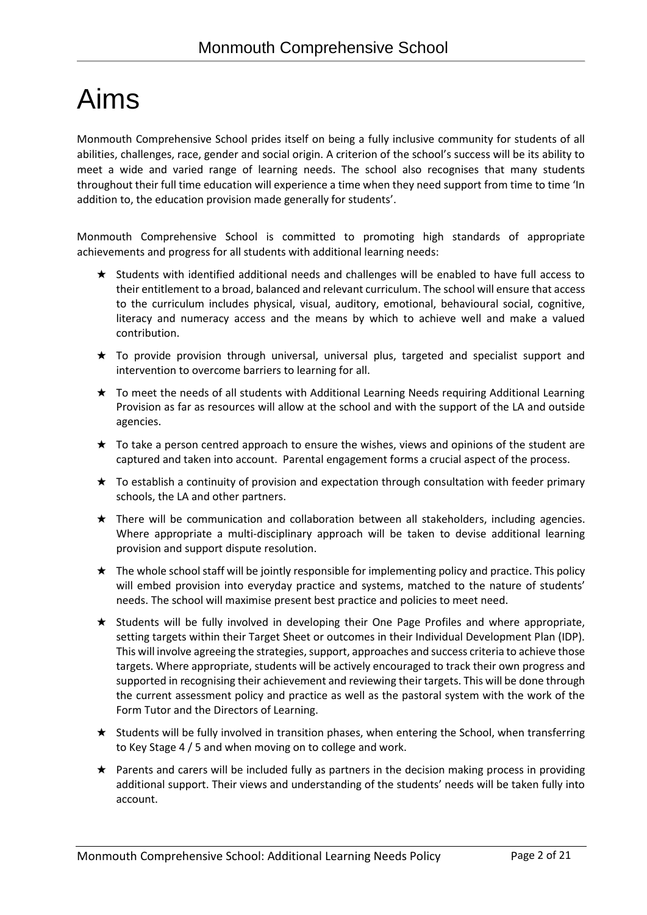# Aims

Monmouth Comprehensive School prides itself on being a fully inclusive community for students of all abilities, challenges, race, gender and social origin. A criterion of the school's success will be its ability to meet a wide and varied range of learning needs. The school also recognises that many students throughout their full time education will experience a time when they need support from time to time 'In addition to, the education provision made generally for students'.

Monmouth Comprehensive School is committed to promoting high standards of appropriate achievements and progress for all students with additional learning needs:

- ★ Students with identified additional needs and challenges will be enabled to have full access to their entitlement to a broad, balanced and relevant curriculum. The school will ensure that access to the curriculum includes physical, visual, auditory, emotional, behavioural social, cognitive, literacy and numeracy access and the means by which to achieve well and make a valued contribution.
- ★ To provide provision through universal, universal plus, targeted and specialist support and intervention to overcome barriers to learning for all.
- ★ To meet the needs of all students with Additional Learning Needs requiring Additional Learning Provision as far as resources will allow at the school and with the support of the LA and outside agencies.
- $\star$  To take a person centred approach to ensure the wishes, views and opinions of the student are captured and taken into account. Parental engagement forms a crucial aspect of the process.
- ★ To establish a continuity of provision and expectation through consultation with feeder primary schools, the LA and other partners.
- ★ There will be communication and collaboration between all stakeholders, including agencies. Where appropriate a multi-disciplinary approach will be taken to devise additional learning provision and support dispute resolution.
- $\star$  The whole school staff will be jointly responsible for implementing policy and practice. This policy will embed provision into everyday practice and systems, matched to the nature of students' needs. The school will maximise present best practice and policies to meet need.
- ★ Students will be fully involved in developing their One Page Profiles and where appropriate, setting targets within their Target Sheet or outcomes in their Individual Development Plan (IDP). This will involve agreeing the strategies, support, approaches and success criteria to achieve those targets. Where appropriate, students will be actively encouraged to track their own progress and supported in recognising their achievement and reviewing their targets. This will be done through the current assessment policy and practice as well as the pastoral system with the work of the Form Tutor and the Directors of Learning.
- ★ Students will be fully involved in transition phases, when entering the School, when transferring to Key Stage 4 / 5 and when moving on to college and work.
- ★ Parents and carers will be included fully as partners in the decision making process in providing additional support. Their views and understanding of the students' needs will be taken fully into account.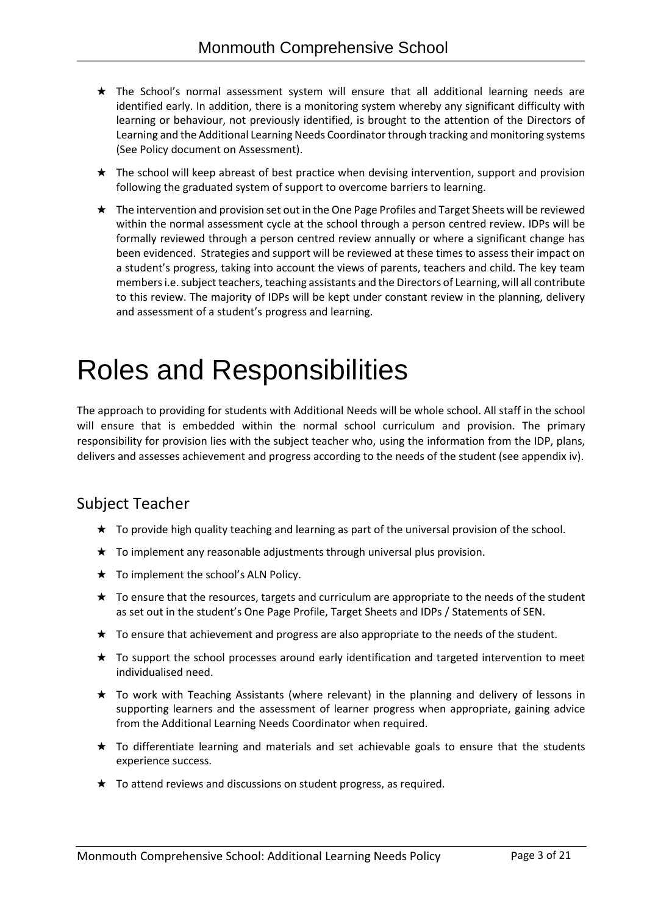- ★ The School's normal assessment system will ensure that all additional learning needs are identified early. In addition, there is a monitoring system whereby any significant difficulty with learning or behaviour, not previously identified, is brought to the attention of the Directors of Learning and the Additional Learning Needs Coordinator through tracking and monitoring systems (See Policy document on Assessment).
- ★ The school will keep abreast of best practice when devising intervention, support and provision following the graduated system of support to overcome barriers to learning.
- ★ The intervention and provision set out in the One Page Profiles and Target Sheets will be reviewed within the normal assessment cycle at the school through a person centred review. IDPs will be formally reviewed through a person centred review annually or where a significant change has been evidenced. Strategies and support will be reviewed at these times to assess their impact on a student's progress, taking into account the views of parents, teachers and child. The key team members i.e. subject teachers, teaching assistants and the Directors of Learning, will all contribute to this review. The majority of IDPs will be kept under constant review in the planning, delivery and assessment of a student's progress and learning.

# Roles and Responsibilities

The approach to providing for students with Additional Needs will be whole school. All staff in the school will ensure that is embedded within the normal school curriculum and provision. The primary responsibility for provision lies with the subject teacher who, using the information from the IDP, plans, delivers and assesses achievement and progress according to the needs of the student (see appendix iv).

## Subject Teacher

- ★ To provide high quality teaching and learning as part of the universal provision of the school.
- ★ To implement any reasonable adjustments through universal plus provision.
- ★ To implement the school's ALN Policy.
- ★ To ensure that the resources, targets and curriculum are appropriate to the needs of the student as set out in the student's One Page Profile, Target Sheets and IDPs / Statements of SEN.
- ★ To ensure that achievement and progress are also appropriate to the needs of the student.
- ★ To support the school processes around early identification and targeted intervention to meet individualised need.
- ★ To work with Teaching Assistants (where relevant) in the planning and delivery of lessons in supporting learners and the assessment of learner progress when appropriate, gaining advice from the Additional Learning Needs Coordinator when required.
- ★ To differentiate learning and materials and set achievable goals to ensure that the students experience success.
- ★ To attend reviews and discussions on student progress, as required.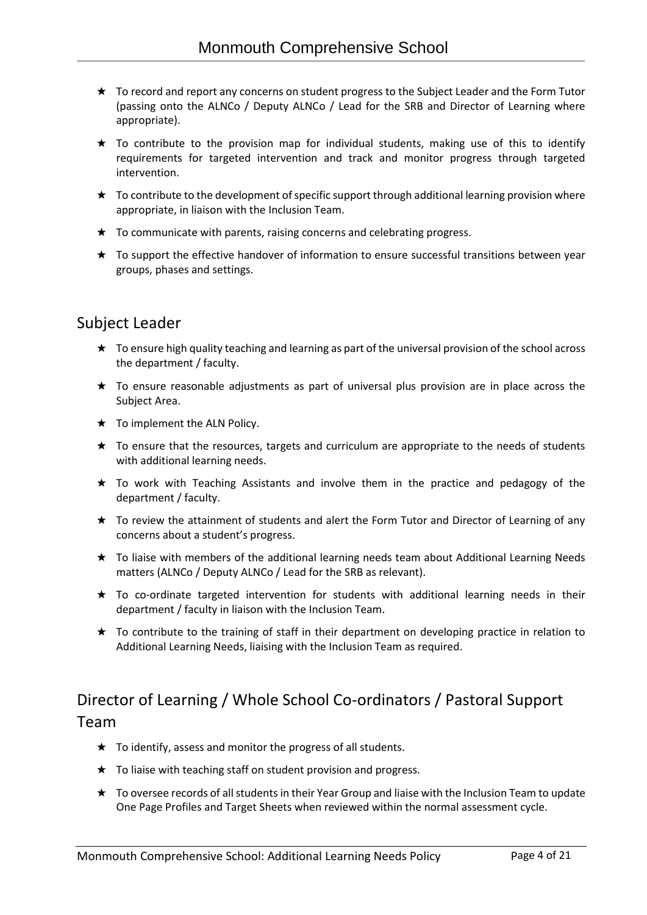- ★ To record and report any concerns on student progress to the Subject Leader and the Form Tutor (passing onto the ALNCo / Deputy ALNCo / Lead for the SRB and Director of Learning where appropriate).
- ★ To contribute to the provision map for individual students, making use of this to identify requirements for targeted intervention and track and monitor progress through targeted intervention.
- $\star$  To contribute to the development of specific support through additional learning provision where appropriate, in liaison with the Inclusion Team.
- $\star$  To communicate with parents, raising concerns and celebrating progress.
- ★ To support the effective handover of information to ensure successful transitions between year groups, phases and settings.

## Subject Leader

- ★ To ensure high quality teaching and learning as part of the universal provision of the school across the department / faculty.
- ★ To ensure reasonable adjustments as part of universal plus provision are in place across the Subject Area.
- $\star$  To implement the ALN Policy.
- ★ To ensure that the resources, targets and curriculum are appropriate to the needs of students with additional learning needs.
- ★ To work with Teaching Assistants and involve them in the practice and pedagogy of the department / faculty.
- ★ To review the attainment of students and alert the Form Tutor and Director of Learning of any concerns about a student's progress.
- ★ To liaise with members of the additional learning needs team about Additional Learning Needs matters (ALNCo / Deputy ALNCo / Lead for the SRB as relevant).
- ★ To co-ordinate targeted intervention for students with additional learning needs in their department / faculty in liaison with the Inclusion Team.
- ★ To contribute to the training of staff in their department on developing practice in relation to Additional Learning Needs, liaising with the Inclusion Team as required.

# Director of Learning / Whole School Co-ordinators / Pastoral Support Team

- $\star$  To identify, assess and monitor the progress of all students.
- $\star$  To liaise with teaching staff on student provision and progress.
- ★ To oversee records of all students in their Year Group and liaise with the Inclusion Team to update One Page Profiles and Target Sheets when reviewed within the normal assessment cycle.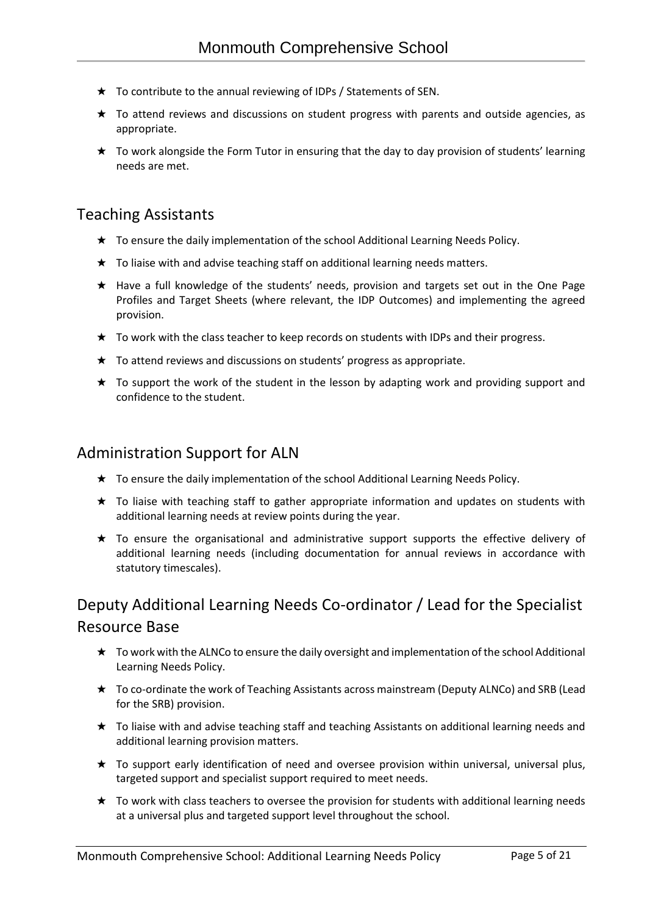- $\star$  To contribute to the annual reviewing of IDPs / Statements of SEN.
- ★ To attend reviews and discussions on student progress with parents and outside agencies, as appropriate.
- ★ To work alongside the Form Tutor in ensuring that the day to day provision of students' learning needs are met.

### Teaching Assistants

- ★ To ensure the daily implementation of the school Additional Learning Needs Policy.
- ★ To liaise with and advise teaching staff on additional learning needs matters.
- ★ Have a full knowledge of the students' needs, provision and targets set out in the One Page Profiles and Target Sheets (where relevant, the IDP Outcomes) and implementing the agreed provision.
- ★ To work with the class teacher to keep records on students with IDPs and their progress.
- ★ To attend reviews and discussions on students' progress as appropriate.
- ★ To support the work of the student in the lesson by adapting work and providing support and confidence to the student.

### Administration Support for ALN

- ★ To ensure the daily implementation of the school Additional Learning Needs Policy.
- ★ To liaise with teaching staff to gather appropriate information and updates on students with additional learning needs at review points during the year.
- ★ To ensure the organisational and administrative support supports the effective delivery of additional learning needs (including documentation for annual reviews in accordance with statutory timescales).

# Deputy Additional Learning Needs Co-ordinator / Lead for the Specialist Resource Base

- ★ To work with the ALNCo to ensure the daily oversight and implementation of the school Additional Learning Needs Policy.
- ★ To co-ordinate the work of Teaching Assistants across mainstream (Deputy ALNCo) and SRB (Lead for the SRB) provision.
- ★ To liaise with and advise teaching staff and teaching Assistants on additional learning needs and additional learning provision matters.
- ★ To support early identification of need and oversee provision within universal, universal plus, targeted support and specialist support required to meet needs.
- ★ To work with class teachers to oversee the provision for students with additional learning needs at a universal plus and targeted support level throughout the school.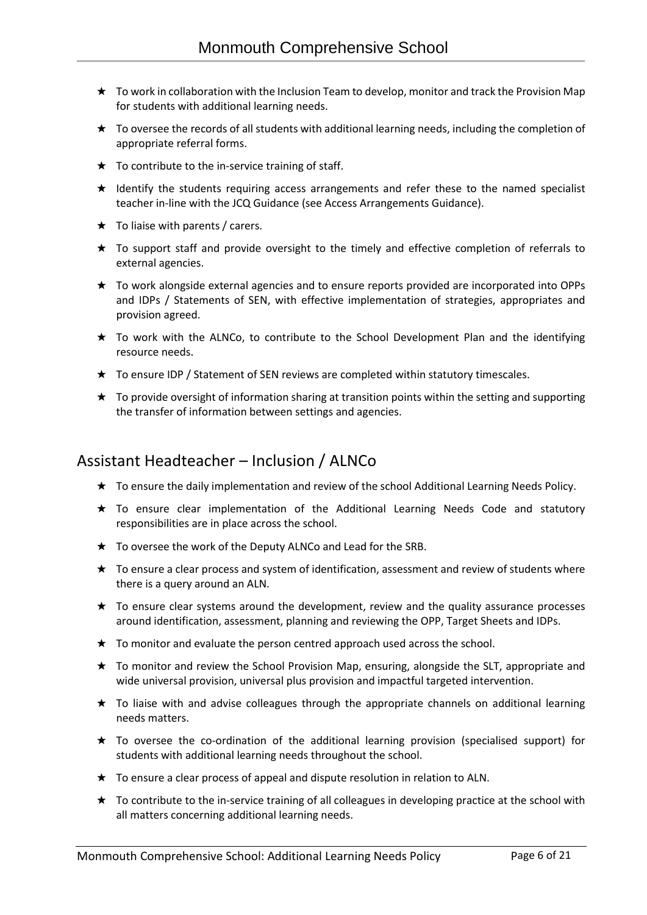- ★ To work in collaboration with the Inclusion Team to develop, monitor and track the Provision Map for students with additional learning needs.
- ★ To oversee the records of all students with additional learning needs, including the completion of appropriate referral forms.
- $\star$  To contribute to the in-service training of staff.
- ★ Identify the students requiring access arrangements and refer these to the named specialist teacher in-line with the JCQ Guidance (see Access Arrangements Guidance).
- $\star$  To liaise with parents / carers.
- ★ To support staff and provide oversight to the timely and effective completion of referrals to external agencies.
- ★ To work alongside external agencies and to ensure reports provided are incorporated into OPPs and IDPs / Statements of SEN, with effective implementation of strategies, appropriates and provision agreed.
- ★ To work with the ALNCo, to contribute to the School Development Plan and the identifying resource needs.
- ★ To ensure IDP / Statement of SEN reviews are completed within statutory timescales.
- $\star$  To provide oversight of information sharing at transition points within the setting and supporting the transfer of information between settings and agencies.

### Assistant Headteacher – Inclusion / ALNCo

- ★ To ensure the daily implementation and review of the school Additional Learning Needs Policy.
- ★ To ensure clear implementation of the Additional Learning Needs Code and statutory responsibilities are in place across the school.
- ★ To oversee the work of the Deputy ALNCo and Lead for the SRB.
- ★ To ensure a clear process and system of identification, assessment and review of students where there is a query around an ALN.
- $\star$  To ensure clear systems around the development, review and the quality assurance processes around identification, assessment, planning and reviewing the OPP, Target Sheets and IDPs.
- ★ To monitor and evaluate the person centred approach used across the school.
- ★ To monitor and review the School Provision Map, ensuring, alongside the SLT, appropriate and wide universal provision, universal plus provision and impactful targeted intervention.
- ★ To liaise with and advise colleagues through the appropriate channels on additional learning needs matters.
- ★ To oversee the co-ordination of the additional learning provision (specialised support) for students with additional learning needs throughout the school.
- ★ To ensure a clear process of appeal and dispute resolution in relation to ALN.
- ★ To contribute to the in-service training of all colleagues in developing practice at the school with all matters concerning additional learning needs.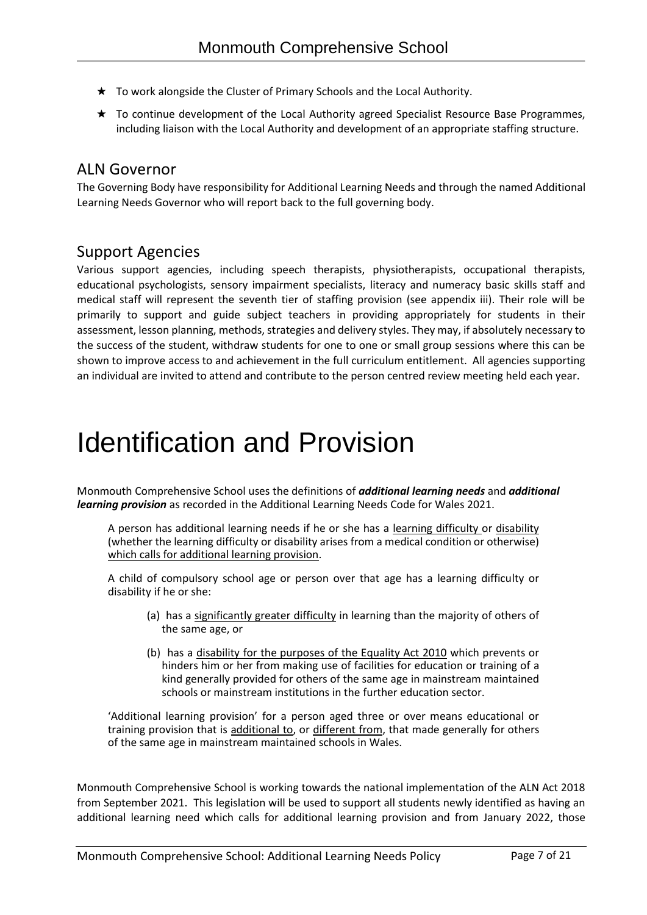- ★ To work alongside the Cluster of Primary Schools and the Local Authority.
- ★ To continue development of the Local Authority agreed Specialist Resource Base Programmes, including liaison with the Local Authority and development of an appropriate staffing structure.

### ALN Governor

The Governing Body have responsibility for Additional Learning Needs and through the named Additional Learning Needs Governor who will report back to the full governing body.

### Support Agencies

Various support agencies, including speech therapists, physiotherapists, occupational therapists, educational psychologists, sensory impairment specialists, literacy and numeracy basic skills staff and medical staff will represent the seventh tier of staffing provision (see appendix iii). Their role will be primarily to support and guide subject teachers in providing appropriately for students in their assessment, lesson planning, methods, strategies and delivery styles. They may, if absolutely necessary to the success of the student, withdraw students for one to one or small group sessions where this can be shown to improve access to and achievement in the full curriculum entitlement. All agencies supporting an individual are invited to attend and contribute to the person centred review meeting held each year.

# Identification and Provision

Monmouth Comprehensive School uses the definitions of *additional learning needs* and *additional learning provision* as recorded in the Additional Learning Needs Code for Wales 2021.

A person has additional learning needs if he or she has a learning difficulty or disability (whether the learning difficulty or disability arises from a medical condition or otherwise) which calls for additional learning provision.

A child of compulsory school age or person over that age has a learning difficulty or disability if he or she:

- (a) has a significantly greater difficulty in learning than the majority of others of the same age, or
- (b) has a disability for the purposes of the Equality Act 2010 which prevents or hinders him or her from making use of facilities for education or training of a kind generally provided for others of the same age in mainstream maintained schools or mainstream institutions in the further education sector.

'Additional learning provision' for a person aged three or over means educational or training provision that is additional to, or different from, that made generally for others of the same age in mainstream maintained schools in Wales.

Monmouth Comprehensive School is working towards the national implementation of the ALN Act 2018 from September 2021. This legislation will be used to support all students newly identified as having an additional learning need which calls for additional learning provision and from January 2022, those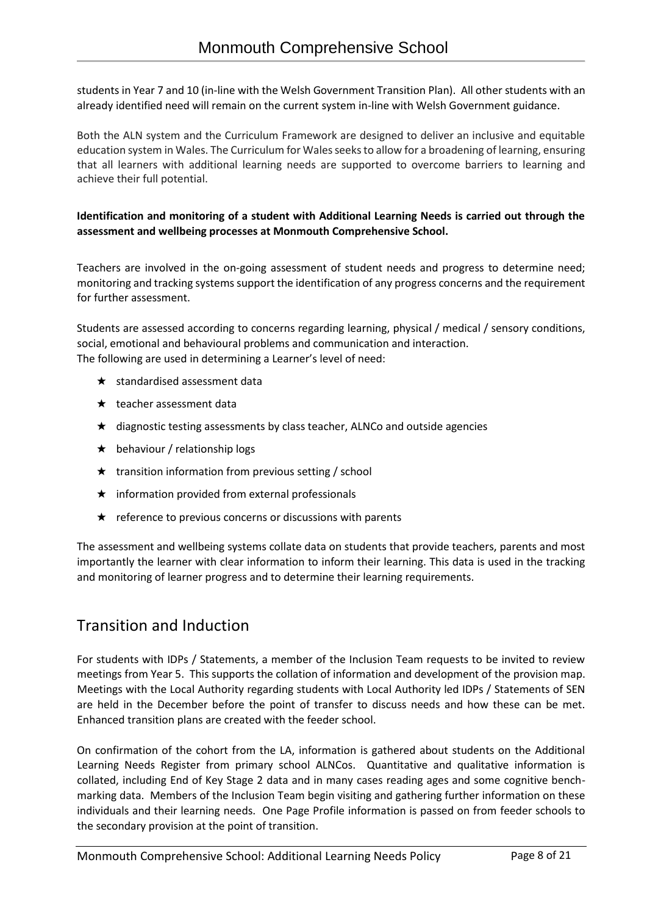students in Year 7 and 10 (in-line with the Welsh Government Transition Plan). All other students with an already identified need will remain on the current system in-line with Welsh Government guidance.

Both the ALN system and the Curriculum Framework are designed to deliver an inclusive and equitable education system in Wales. The Curriculum for Wales seeks to allow for a broadening of learning, ensuring that all learners with additional learning needs are supported to overcome barriers to learning and achieve their full potential.

#### **Identification and monitoring of a student with Additional Learning Needs is carried out through the assessment and wellbeing processes at Monmouth Comprehensive School.**

Teachers are involved in the on-going assessment of student needs and progress to determine need; monitoring and tracking systems support the identification of any progress concerns and the requirement for further assessment.

Students are assessed according to concerns regarding learning, physical / medical / sensory conditions, social, emotional and behavioural problems and communication and interaction. The following are used in determining a Learner's level of need:

- $\star$  standardised assessment data
- ★ teacher assessment data
- ★ diagnostic testing assessments by class teacher, ALNCo and outside agencies
- $\star$  behaviour / relationship logs
- $\star$  transition information from previous setting / school
- $\star$  information provided from external professionals
- $\star$  reference to previous concerns or discussions with parents

The assessment and wellbeing systems collate data on students that provide teachers, parents and most importantly the learner with clear information to inform their learning. This data is used in the tracking and monitoring of learner progress and to determine their learning requirements.

## Transition and Induction

For students with IDPs / Statements, a member of the Inclusion Team requests to be invited to review meetings from Year 5. This supports the collation of information and development of the provision map. Meetings with the Local Authority regarding students with Local Authority led IDPs / Statements of SEN are held in the December before the point of transfer to discuss needs and how these can be met. Enhanced transition plans are created with the feeder school.

On confirmation of the cohort from the LA, information is gathered about students on the Additional Learning Needs Register from primary school ALNCos. Quantitative and qualitative information is collated, including End of Key Stage 2 data and in many cases reading ages and some cognitive benchmarking data. Members of the Inclusion Team begin visiting and gathering further information on these individuals and their learning needs. One Page Profile information is passed on from feeder schools to the secondary provision at the point of transition.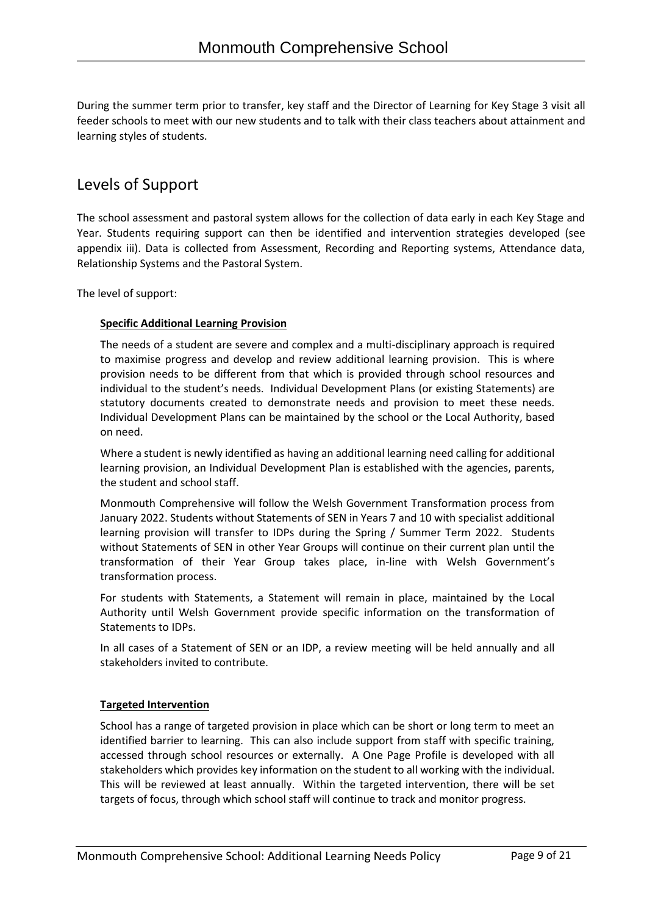During the summer term prior to transfer, key staff and the Director of Learning for Key Stage 3 visit all feeder schools to meet with our new students and to talk with their class teachers about attainment and learning styles of students.

## Levels of Support

The school assessment and pastoral system allows for the collection of data early in each Key Stage and Year. Students requiring support can then be identified and intervention strategies developed (see appendix iii). Data is collected from Assessment, Recording and Reporting systems, Attendance data, Relationship Systems and the Pastoral System.

The level of support:

#### **Specific Additional Learning Provision**

The needs of a student are severe and complex and a multi-disciplinary approach is required to maximise progress and develop and review additional learning provision. This is where provision needs to be different from that which is provided through school resources and individual to the student's needs. Individual Development Plans (or existing Statements) are statutory documents created to demonstrate needs and provision to meet these needs. Individual Development Plans can be maintained by the school or the Local Authority, based on need.

Where a student is newly identified as having an additional learning need calling for additional learning provision, an Individual Development Plan is established with the agencies, parents, the student and school staff.

Monmouth Comprehensive will follow the Welsh Government Transformation process from January 2022. Students without Statements of SEN in Years 7 and 10 with specialist additional learning provision will transfer to IDPs during the Spring / Summer Term 2022. Students without Statements of SEN in other Year Groups will continue on their current plan until the transformation of their Year Group takes place, in-line with Welsh Government's transformation process.

For students with Statements, a Statement will remain in place, maintained by the Local Authority until Welsh Government provide specific information on the transformation of Statements to IDPs.

In all cases of a Statement of SEN or an IDP, a review meeting will be held annually and all stakeholders invited to contribute.

#### **Targeted Intervention**

School has a range of targeted provision in place which can be short or long term to meet an identified barrier to learning. This can also include support from staff with specific training, accessed through school resources or externally. A One Page Profile is developed with all stakeholders which provides key information on the student to all working with the individual. This will be reviewed at least annually. Within the targeted intervention, there will be set targets of focus, through which school staff will continue to track and monitor progress.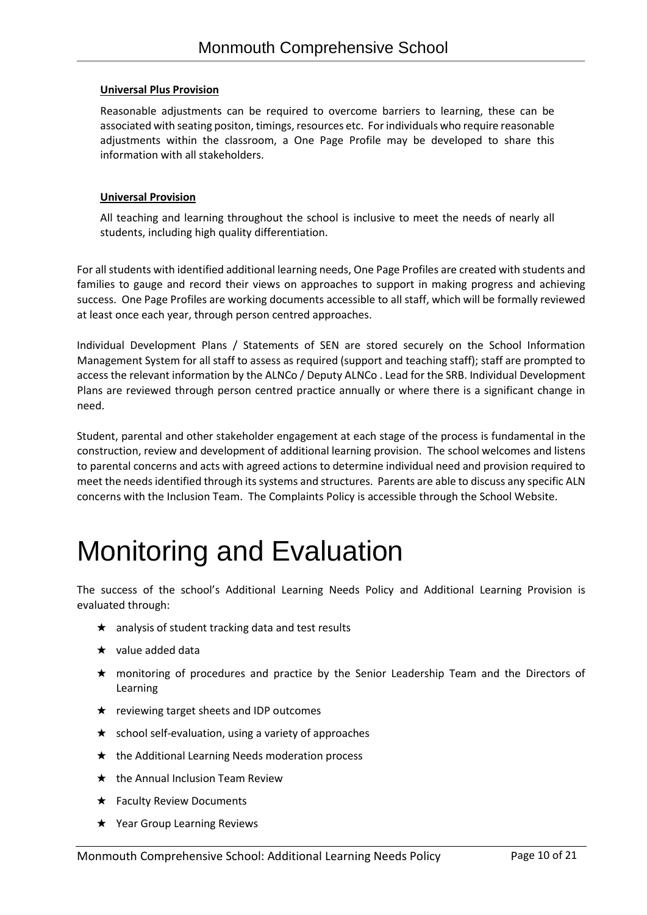#### **Universal Plus Provision**

Reasonable adjustments can be required to overcome barriers to learning, these can be associated with seating positon, timings, resources etc. For individuals who require reasonable adjustments within the classroom, a One Page Profile may be developed to share this information with all stakeholders.

#### **Universal Provision**

All teaching and learning throughout the school is inclusive to meet the needs of nearly all students, including high quality differentiation.

For all students with identified additional learning needs, One Page Profiles are created with students and families to gauge and record their views on approaches to support in making progress and achieving success. One Page Profiles are working documents accessible to all staff, which will be formally reviewed at least once each year, through person centred approaches.

Individual Development Plans / Statements of SEN are stored securely on the School Information Management System for all staff to assess as required (support and teaching staff); staff are prompted to access the relevant information by the ALNCo / Deputy ALNCo . Lead for the SRB. Individual Development Plans are reviewed through person centred practice annually or where there is a significant change in need.

Student, parental and other stakeholder engagement at each stage of the process is fundamental in the construction, review and development of additional learning provision. The school welcomes and listens to parental concerns and acts with agreed actions to determine individual need and provision required to meet the needs identified through its systems and structures. Parents are able to discuss any specific ALN concerns with the Inclusion Team. The Complaints Policy is accessible through the School Website.

# Monitoring and Evaluation

The success of the school's Additional Learning Needs Policy and Additional Learning Provision is evaluated through:

- $\star$  analysis of student tracking data and test results
- ★ value added data
- ★ monitoring of procedures and practice by the Senior Leadership Team and the Directors of Learning
- ★ reviewing target sheets and IDP outcomes
- ★ school self-evaluation, using a variety of approaches
- ★ the Additional Learning Needs moderation process
- ★ the Annual Inclusion Team Review
- ★ Faculty Review Documents
- **★** Year Group Learning Reviews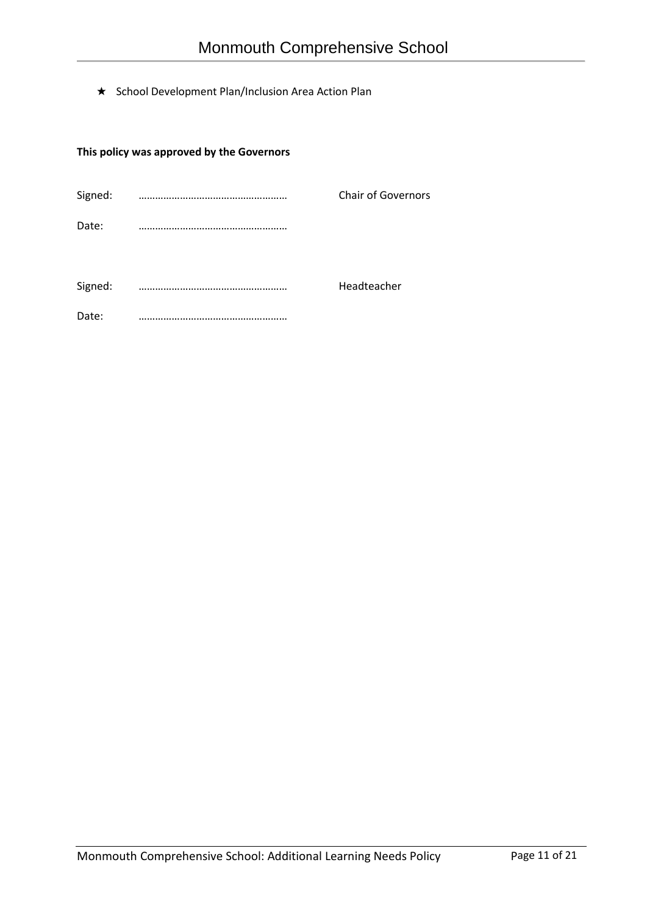★ School Development Plan/Inclusion Area Action Plan

### **This policy was approved by the Governors**

| Signed: | <b>Chair of Governors</b> |
|---------|---------------------------|
| Date:   |                           |
|         |                           |
| Signed: | <br>Headteacher           |
| Date:   |                           |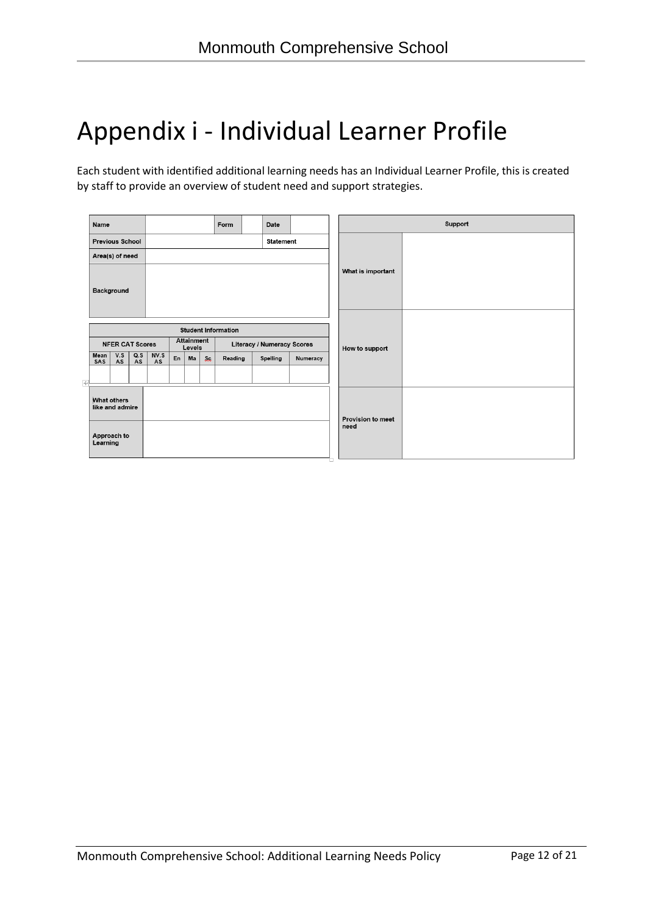# Appendix i - Individual Learner Profile

Each student with identified additional learning needs has an Individual Learner Profile, this is created by staff to provide an overview of student need and support strategies.

| Name                                       |                                               |           |                   |    |                      |                                  | Form    |  | Date                       |          |                   | Support |
|--------------------------------------------|-----------------------------------------------|-----------|-------------------|----|----------------------|----------------------------------|---------|--|----------------------------|----------|-------------------|---------|
| <b>Statement</b><br><b>Previous School</b> |                                               |           |                   |    |                      |                                  |         |  |                            |          |                   |         |
|                                            | Area(s) of need                               |           |                   |    |                      |                                  |         |  |                            |          |                   |         |
|                                            | Background                                    |           |                   |    |                      |                                  |         |  |                            |          | What is important |         |
|                                            | <b>Student Information</b>                    |           |                   |    |                      |                                  |         |  |                            |          |                   |         |
|                                            | <b>NFER CAT Scores</b>                        |           |                   |    | Attainment<br>Levels |                                  |         |  | Literacy / Numeracy Scores |          | How to support    |         |
| Mean<br>SAS                                | V.S<br>AS                                     | Q.S<br>AS | NV.S<br><b>AS</b> | En | Ma                   | <b>Sc</b>                        | Reading |  | <b>Spelling</b>            | Numeracy |                   |         |
| ᆉ                                          |                                               |           |                   |    |                      |                                  |         |  |                            |          |                   |         |
|                                            | What others<br>like and admire<br>Approach to |           |                   |    |                      | <b>Provision to meet</b><br>need |         |  |                            |          |                   |         |
|                                            | Learning                                      |           |                   |    |                      |                                  |         |  |                            |          |                   |         |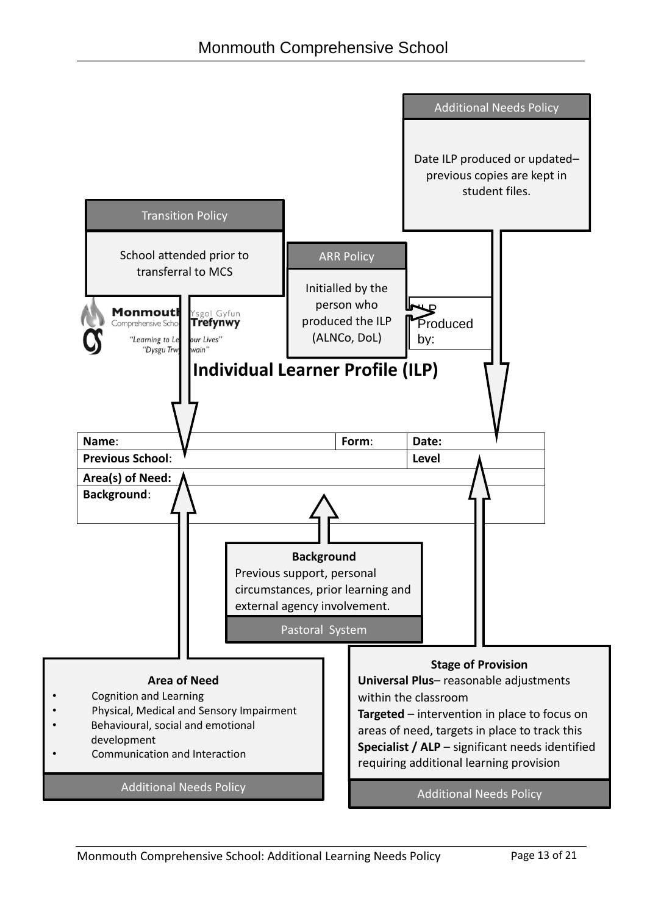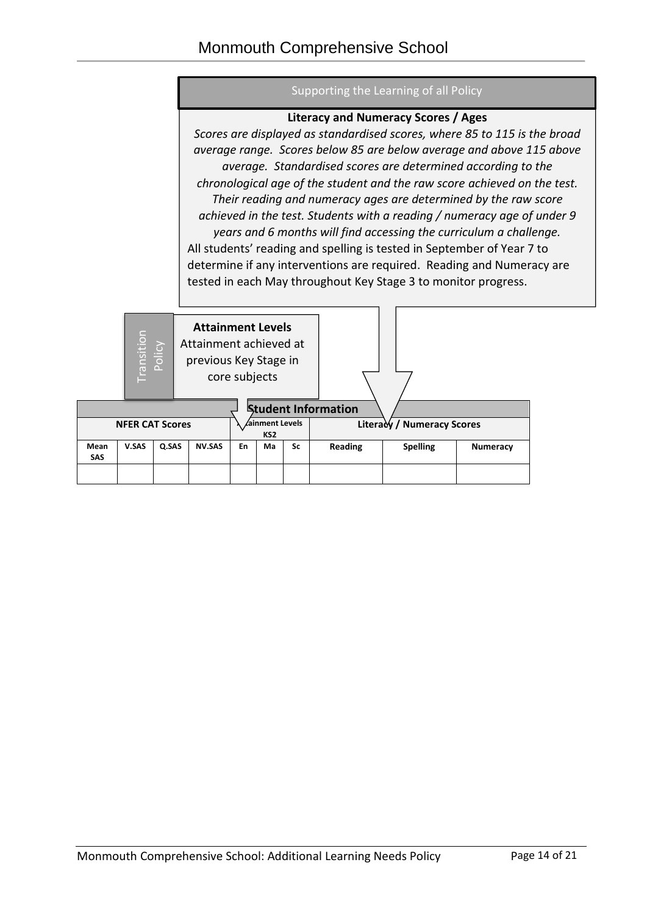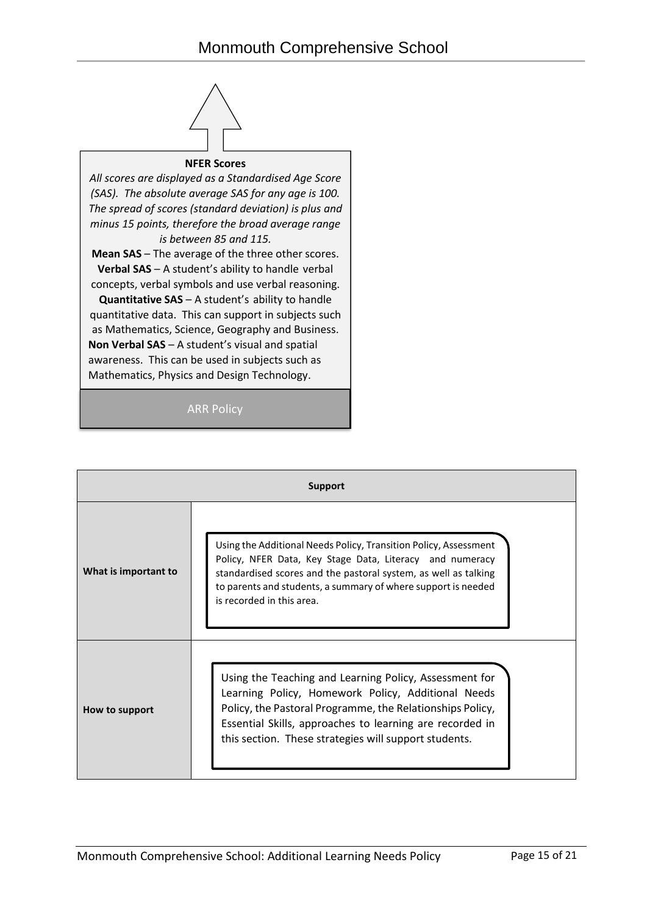

#### **NFER Scores**

*All scores are displayed as a Standardised Age Score (SAS). The absolute average SAS for any age is 100. The spread of scores (standard deviation) is plus and minus 15 points, therefore the broad average range is between 85 and 115.*

**Mean SAS** – The average of the three other scores. **Verbal SAS** – A student's ability to handle verbal concepts, verbal symbols and use verbal reasoning.

**Quantitative SAS** – A student's ability to handle quantitative data. This can support in subjects such as Mathematics, Science, Geography and Business. **Non Verbal SAS** – A student's visual and spatial awareness. This can be used in subjects such as Mathematics, Physics and Design Technology.

#### ARR Policy

| Support              |                                                                                                                                                                                                                                                                                                |  |  |  |  |  |
|----------------------|------------------------------------------------------------------------------------------------------------------------------------------------------------------------------------------------------------------------------------------------------------------------------------------------|--|--|--|--|--|
| What is important to | Using the Additional Needs Policy, Transition Policy, Assessment<br>Policy, NFER Data, Key Stage Data, Literacy and numeracy<br>standardised scores and the pastoral system, as well as talking<br>to parents and students, a summary of where support is needed<br>is recorded in this area.  |  |  |  |  |  |
| How to support       | Using the Teaching and Learning Policy, Assessment for<br>Learning Policy, Homework Policy, Additional Needs<br>Policy, the Pastoral Programme, the Relationships Policy,<br>Essential Skills, approaches to learning are recorded in<br>this section. These strategies will support students. |  |  |  |  |  |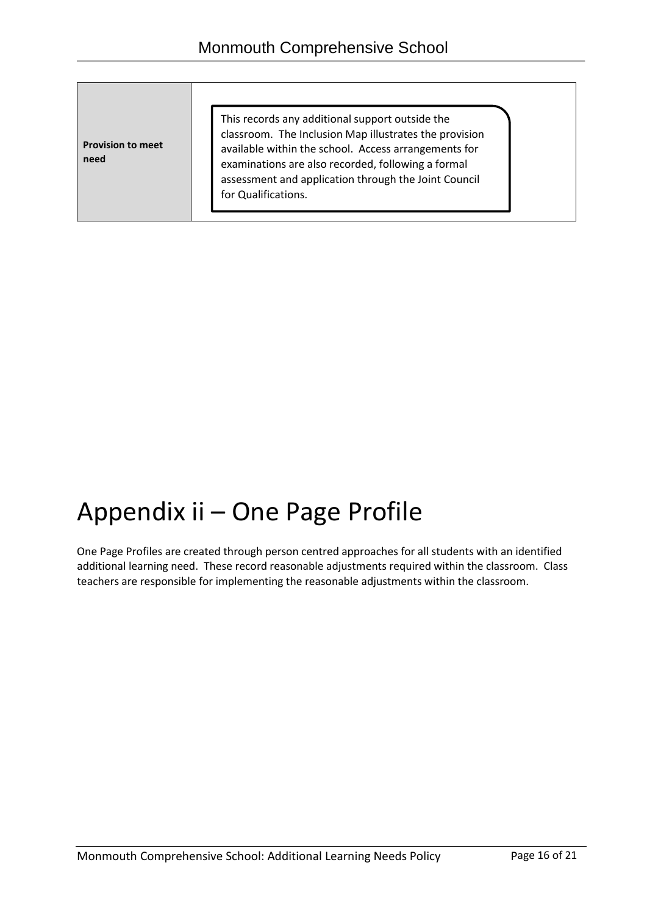**Provision to meet need**

This records any additional support outside the classroom. The Inclusion Map illustrates the provision available within the school. Access arrangements for examinations are also recorded, following a formal assessment and application through the Joint Council for Qualifications.

# Appendix ii – One Page Profile

One Page Profiles are created through person centred approaches for all students with an identified additional learning need. These record reasonable adjustments required within the classroom. Class teachers are responsible for implementing the reasonable adjustments within the classroom.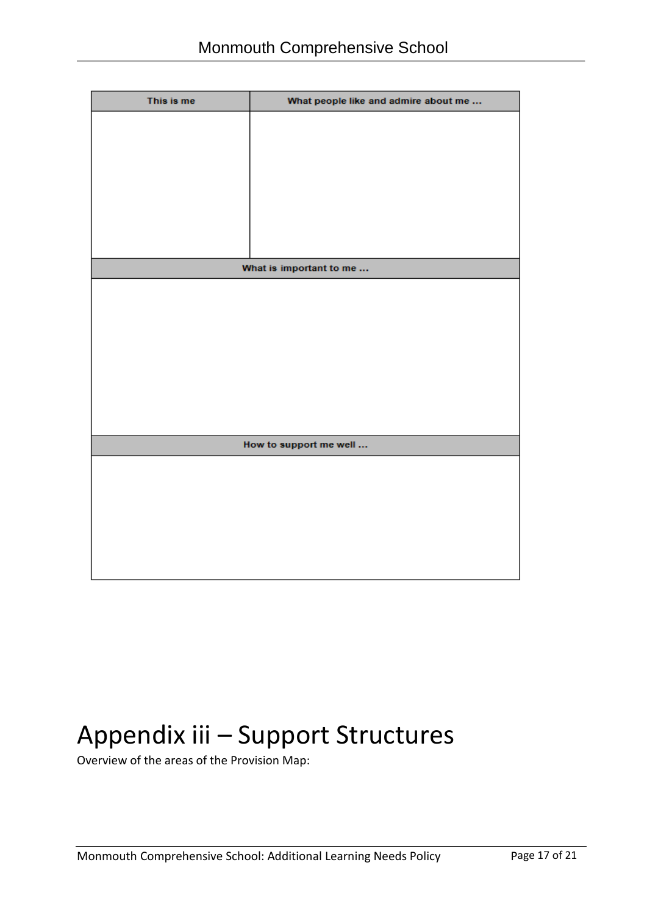| This is me | What people like and admire about me |
|------------|--------------------------------------|
|            |                                      |
|            |                                      |
|            |                                      |
|            |                                      |
|            |                                      |
|            |                                      |
|            |                                      |
|            | What is important to me              |
|            |                                      |
|            |                                      |
|            |                                      |
|            |                                      |
|            |                                      |
|            |                                      |
|            |                                      |
|            |                                      |
|            |                                      |
|            | How to support me well               |
|            |                                      |
|            |                                      |
|            |                                      |
|            |                                      |
|            |                                      |
|            |                                      |

# Appendix iii – Support Structures

Overview of the areas of the Provision Map: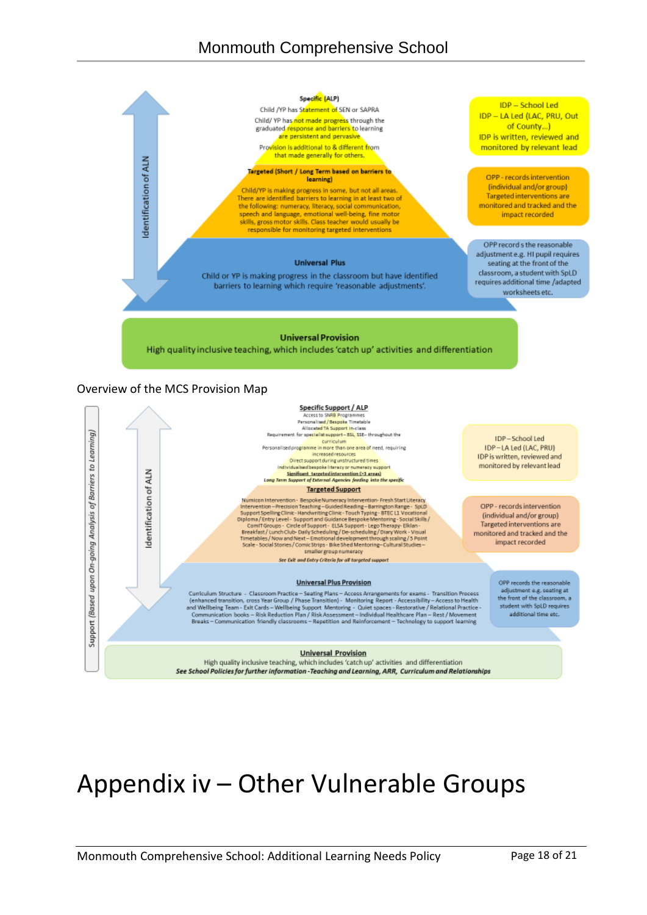

student with SoLD requires

additional time etc.

#### **Universal Provision**

High quality inclusive teaching, which includes 'catch up' activities and differentiation See School Policies for further information - Teaching and Learning, ARR, Curriculum and Relationships

# Appendix iv – Other Vulnerable Groups

Support (Based upon On-going Analysis of Barriers to Learning)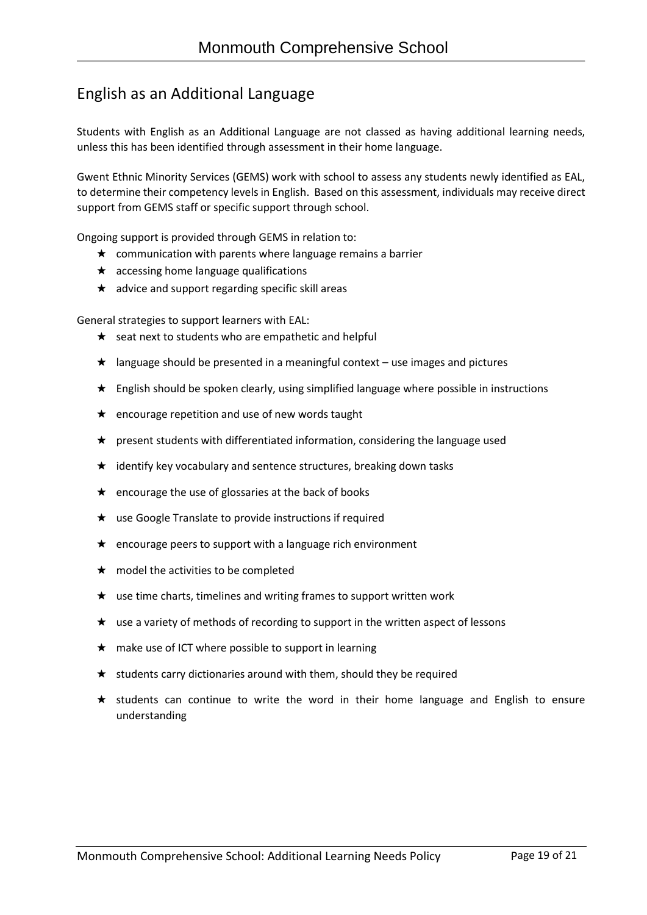## English as an Additional Language

Students with English as an Additional Language are not classed as having additional learning needs, unless this has been identified through assessment in their home language.

Gwent Ethnic Minority Services (GEMS) work with school to assess any students newly identified as EAL, to determine their competency levels in English. Based on this assessment, individuals may receive direct support from GEMS staff or specific support through school.

Ongoing support is provided through GEMS in relation to:

- $\star$  communication with parents where language remains a barrier
- $\star$  accessing home language qualifications
- ★ advice and support regarding specific skill areas

General strategies to support learners with EAL:

- ★ seat next to students who are empathetic and helpful
- $\star$  language should be presented in a meaningful context use images and pictures
- ★ English should be spoken clearly, using simplified language where possible in instructions
- ★ encourage repetition and use of new words taught
- ★ present students with differentiated information, considering the language used
- $\star$  identify key vocabulary and sentence structures, breaking down tasks
- ★ encourage the use of glossaries at the back of books
- ★ use Google Translate to provide instructions if required
- ★ encourage peers to support with a language rich environment
- $\star$  model the activities to be completed
- $\star$  use time charts, timelines and writing frames to support written work
- $\star$  use a variety of methods of recording to support in the written aspect of lessons
- $\star$  make use of ICT where possible to support in learning
- ★ students carry dictionaries around with them, should they be required
- ★ students can continue to write the word in their home language and English to ensure understanding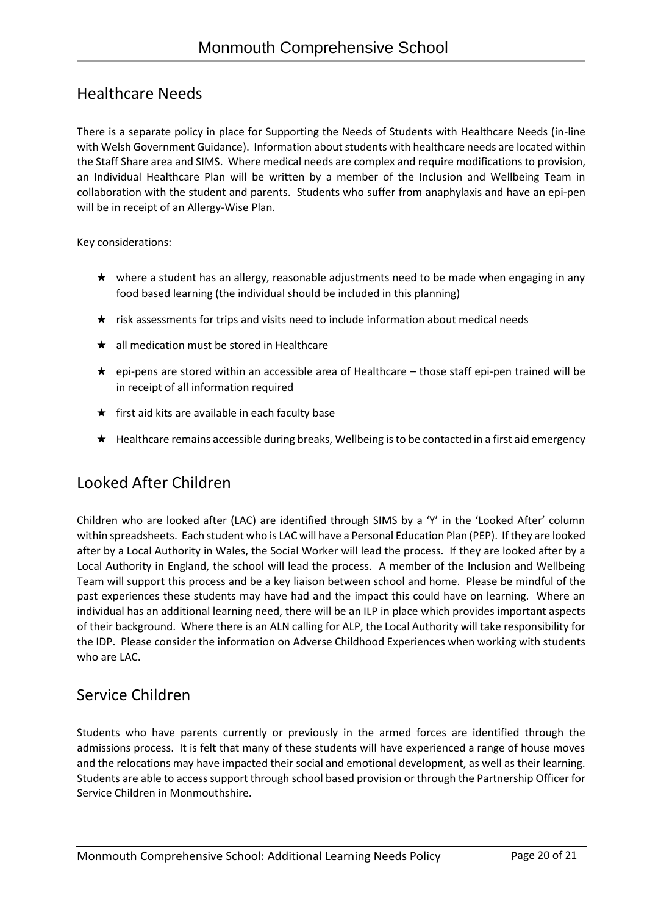## Healthcare Needs

There is a separate policy in place for Supporting the Needs of Students with Healthcare Needs (in-line with Welsh Government Guidance). Information about students with healthcare needs are located within the Staff Share area and SIMS. Where medical needs are complex and require modifications to provision, an Individual Healthcare Plan will be written by a member of the Inclusion and Wellbeing Team in collaboration with the student and parents. Students who suffer from anaphylaxis and have an epi-pen will be in receipt of an Allergy-Wise Plan.

Key considerations:

- ★ where a student has an allergy, reasonable adjustments need to be made when engaging in any food based learning (the individual should be included in this planning)
- ★ risk assessments for trips and visits need to include information about medical needs
- $\star$  all medication must be stored in Healthcare
- ★ epi-pens are stored within an accessible area of Healthcare those staff epi-pen trained will be in receipt of all information required
- $\star$  first aid kits are available in each faculty base
- ★ Healthcare remains accessible during breaks, Wellbeing is to be contacted in a first aid emergency

## Looked After Children

Children who are looked after (LAC) are identified through SIMS by a 'Y' in the 'Looked After' column within spreadsheets. Each student who is LAC will have a Personal Education Plan (PEP). If they are looked after by a Local Authority in Wales, the Social Worker will lead the process. If they are looked after by a Local Authority in England, the school will lead the process. A member of the Inclusion and Wellbeing Team will support this process and be a key liaison between school and home. Please be mindful of the past experiences these students may have had and the impact this could have on learning. Where an individual has an additional learning need, there will be an ILP in place which provides important aspects of their background. Where there is an ALN calling for ALP, the Local Authority will take responsibility for the IDP. Please consider the information on Adverse Childhood Experiences when working with students who are LAC.

### Service Children

Students who have parents currently or previously in the armed forces are identified through the admissions process. It is felt that many of these students will have experienced a range of house moves and the relocations may have impacted their social and emotional development, as well as their learning. Students are able to access support through school based provision or through the Partnership Officer for Service Children in Monmouthshire.